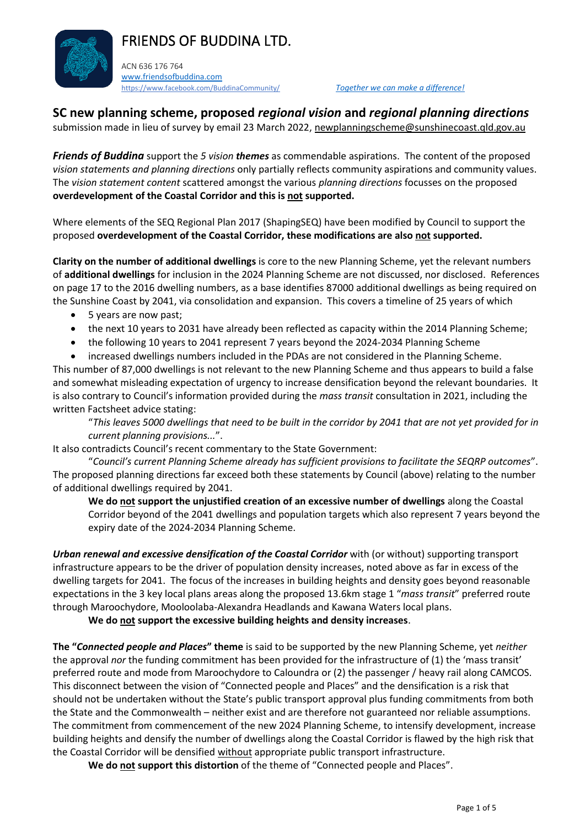# FRIENDS OF BUDDINA LTD.



ACN 636 176 764 [www.friendsofbuddina.com](http://www.friendsofbuddina.com/) <https://www.facebook.com/BuddinaCommunity/> *Together we can make a difference!* 

**SC new planning scheme, proposed** *regional vision* **and** *regional planning directions*

submission made in lieu of survey by email 23 March 2022, [newplanningscheme@sunshinecoast.qld.gov.au](mailto:newplanningscheme@sunshinecoast.qld.gov.au)

*Friends of Buddina* support the *5 vision themes* as commendable aspirations. The content of the proposed *vision statements and planning directions* only partially reflects community aspirations and community values. The *vision statement content* scattered amongst the various *planning directions* focusses on the proposed **overdevelopment of the Coastal Corridor and this is not supported.**

Where elements of the SEQ Regional Plan 2017 (ShapingSEQ) have been modified by Council to support the proposed **overdevelopment of the Coastal Corridor, these modifications are also not supported.**

**Clarity on the number of additional dwellings** is core to the new Planning Scheme, yet the relevant numbers of **additional dwellings** for inclusion in the 2024 Planning Scheme are not discussed, nor disclosed. References on page 17 to the 2016 dwelling numbers, as a base identifies 87000 additional dwellings as being required on the Sunshine Coast by 2041, via consolidation and expansion. This covers a timeline of 25 years of which

- 5 years are now past;
- the next 10 years to 2031 have already been reflected as capacity within the 2014 Planning Scheme;
- the following 10 years to 2041 represent 7 years beyond the 2024-2034 Planning Scheme

• increased dwellings numbers included in the PDAs are not considered in the Planning Scheme. This number of 87,000 dwellings is not relevant to the new Planning Scheme and thus appears to build a false and somewhat misleading expectation of urgency to increase densification beyond the relevant boundaries. It is also contrary to Council's information provided during the *mass transit* consultation in 2021, including the written Factsheet advice stating:

"*This leaves 5000 dwellings that need to be built in the corridor by 2041 that are not yet provided for in current planning provisions...*".

It also contradicts Council's recent commentary to the State Government:

"*Council's current Planning Scheme already has sufficient provisions to facilitate the SEQRP outcomes*". The proposed planning directions far exceed both these statements by Council (above) relating to the number of additional dwellings required by 2041.

**We do not support the unjustified creation of an excessive number of dwellings** along the Coastal Corridor beyond of the 2041 dwellings and population targets which also represent 7 years beyond the expiry date of the 2024-2034 Planning Scheme.

*Urban renewal and excessive densification of the Coastal Corridor* with (or without) supporting transport infrastructure appears to be the driver of population density increases, noted above as far in excess of the dwelling targets for 2041. The focus of the increases in building heights and density goes beyond reasonable expectations in the 3 key local plans areas along the proposed 13.6km stage 1 "*mass transit*" preferred route through Maroochydore, Mooloolaba-Alexandra Headlands and Kawana Waters local plans.

**We do not support the excessive building heights and density increases**.

**The "***Connected people and Places***" theme** is said to be supported by the new Planning Scheme, yet *neither* the approval *nor* the funding commitment has been provided for the infrastructure of (1) the 'mass transit' preferred route and mode from Maroochydore to Caloundra or (2) the passenger / heavy rail along CAMCOS. This disconnect between the vision of "Connected people and Places" and the densification is a risk that should not be undertaken without the State's public transport approval plus funding commitments from both the State and the Commonwealth – neither exist and are therefore not guaranteed nor reliable assumptions. The commitment from commencement of the new 2024 Planning Scheme, to intensify development, increase building heights and densify the number of dwellings along the Coastal Corridor is flawed by the high risk that the Coastal Corridor will be densified without appropriate public transport infrastructure.

**We do not support this distortion** of the theme of "Connected people and Places".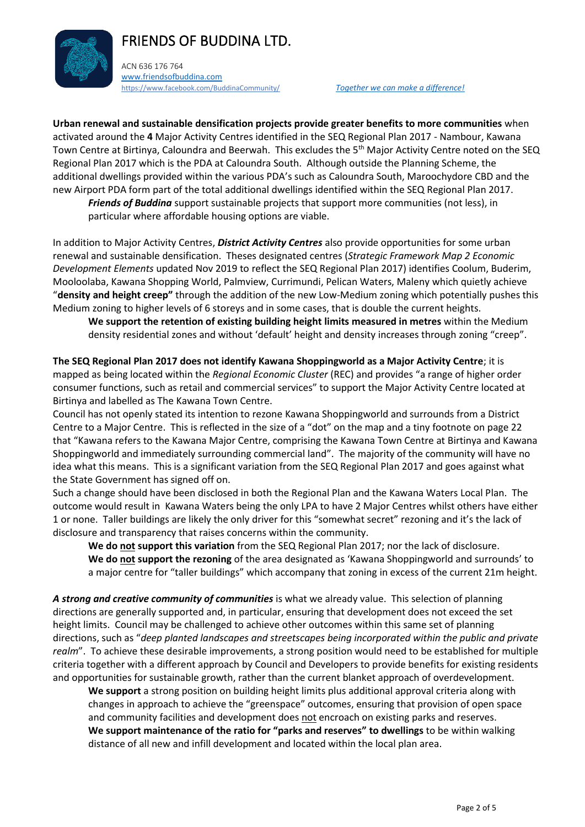# FRIENDS OF BUDDINA LTD.



ACN 636 176 764 [www.friendsofbuddina.com](http://www.friendsofbuddina.com/) <https://www.facebook.com/BuddinaCommunity/> *Together we can make a difference!* 

**Urban renewal and sustainable densification projects provide greater benefits to more communities** when activated around the **4** Major Activity Centres identified in the SEQ Regional Plan 2017 - Nambour, Kawana Town Centre at Birtinya, Caloundra and Beerwah. This excludes the 5th Major Activity Centre noted on the SEQ Regional Plan 2017 which is the PDA at Caloundra South. Although outside the Planning Scheme, the additional dwellings provided within the various PDA's such as Caloundra South, Maroochydore CBD and the new Airport PDA form part of the total additional dwellings identified within the SEQ Regional Plan 2017.

*Friends of Buddina* support sustainable projects that support more communities (not less), in particular where affordable housing options are viable.

In addition to Major Activity Centres, *District Activity Centres* also provide opportunities for some urban renewal and sustainable densification. Theses designated centres (*Strategic Framework Map 2 Economic Development Elements* updated Nov 2019 to reflect the SEQ Regional Plan 2017) identifies Coolum, Buderim, Mooloolaba, Kawana Shopping World, Palmview, Currimundi, Pelican Waters, Maleny which quietly achieve "**density and height creep"** through the addition of the new Low-Medium zoning which potentially pushes this Medium zoning to higher levels of 6 storeys and in some cases, that is double the current heights.

**We support the retention of existing building height limits measured in metres** within the Medium density residential zones and without 'default' height and density increases through zoning "creep".

**The SEQ Regional Plan 2017 does not identify Kawana Shoppingworld as a Major Activity Centre**; it is mapped as being located within the *Regional Economic Cluster* (REC) and provides "a range of higher order consumer functions, such as retail and commercial services" to support the Major Activity Centre located at Birtinya and labelled as The Kawana Town Centre.

Council has not openly stated its intention to rezone Kawana Shoppingworld and surrounds from a District Centre to a Major Centre. This is reflected in the size of a "dot" on the map and a tiny footnote on page 22 that "Kawana refers to the Kawana Major Centre, comprising the Kawana Town Centre at Birtinya and Kawana Shoppingworld and immediately surrounding commercial land". The majority of the community will have no idea what this means. This is a significant variation from the SEQ Regional Plan 2017 and goes against what the State Government has signed off on.

Such a change should have been disclosed in both the Regional Plan and the Kawana Waters Local Plan. The outcome would result in Kawana Waters being the only LPA to have 2 Major Centres whilst others have either 1 or none. Taller buildings are likely the only driver for this "somewhat secret" rezoning and it's the lack of disclosure and transparency that raises concerns within the community.

**We do not support this variation** from the SEQ Regional Plan 2017; nor the lack of disclosure. **We do not support the rezoning** of the area designated as 'Kawana Shoppingworld and surrounds' to a major centre for "taller buildings" which accompany that zoning in excess of the current 21m height.

*A strong and creative community of communities* is what we already value. This selection of planning directions are generally supported and, in particular, ensuring that development does not exceed the set height limits. Council may be challenged to achieve other outcomes within this same set of planning directions, such as "*deep planted landscapes and streetscapes being incorporated within the public and private realm*". To achieve these desirable improvements, a strong position would need to be established for multiple criteria together with a different approach by Council and Developers to provide benefits for existing residents and opportunities for sustainable growth, rather than the current blanket approach of overdevelopment.

**We support** a strong position on building height limits plus additional approval criteria along with changes in approach to achieve the "greenspace" outcomes, ensuring that provision of open space and community facilities and development does not encroach on existing parks and reserves. **We support maintenance of the ratio for "parks and reserves" to dwellings** to be within walking distance of all new and infill development and located within the local plan area.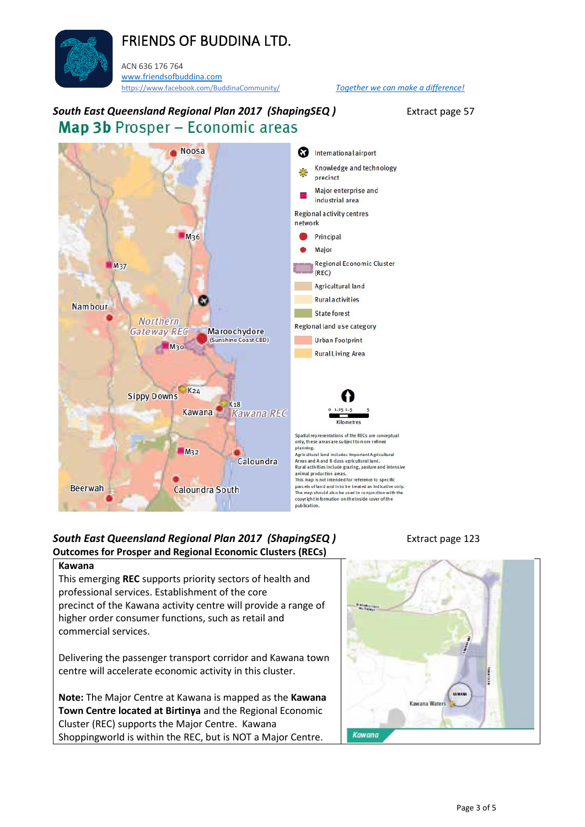# FRIENDS OF BUDDINA LTD.

ACN 636 176 764 [www.friendsofbuddina.com](http://www.friendsofbuddina.com/) <https://www.facebook.com/BuddinaCommunity/> *Together we can make a difference!* 

c.

Maroochydore

 $K<sub>18</sub>$ 

Caloundra

(Sunshine Coast CBD)



**Northern** 

**Gateway REC** 

**Sippy Downs** 

 $M_{30}$ 

 $K<sub>24</sub>$ 

 $M<sub>32</sub>$ 

Kawana

Caloundra South

 $M<sub>37</sub>$ 

**Nambour** 

**Co** International airport Knowledge and technology precinct Major enterprise and industrial area Regional activity centres network Principal Major **Regional Economic Cluster** (REC) **Agricultural land Rural activities** State forest Regional land use category Urban Footprint **Rural Living Area** Kawana REC

> Spatial representations of the RECs are conceptual only, these areas are subject to more refine planning. Agricultural land includes Important Agricultural<br>Areas and A and B dass agricultural land. Rural activities include grazing, pasture and intensive animal production areas.<br>This map is not intended for reference to specific parcels of land and is to be treated as indicative only. The map should also be used in conjunction with the<br>copyright information on the inside cover of the

publication.

### **South East Queensland Regional Plan 2017 (ShapingSEQ)** Extract page 123 **Outcomes for Prosper and Regional Economic Clusters (RECs)**

### **Kawana**

**Beerwah** 

This emerging **REC** supports priority sectors of health and professional services. Establishment of the core precinct of the Kawana activity centre will provide a range of higher order consumer functions, such as retail and commercial services.

Delivering the passenger transport corridor and Kawana town centre will accelerate economic activity in this cluster.

**Note:** The Major Centre at Kawana is mapped as the **Kawana Town Centre located at Birtinya** and the Regional Economic Cluster (REC) supports the Major Centre. Kawana Shoppingworld is within the REC, but is NOT a Major Centre.

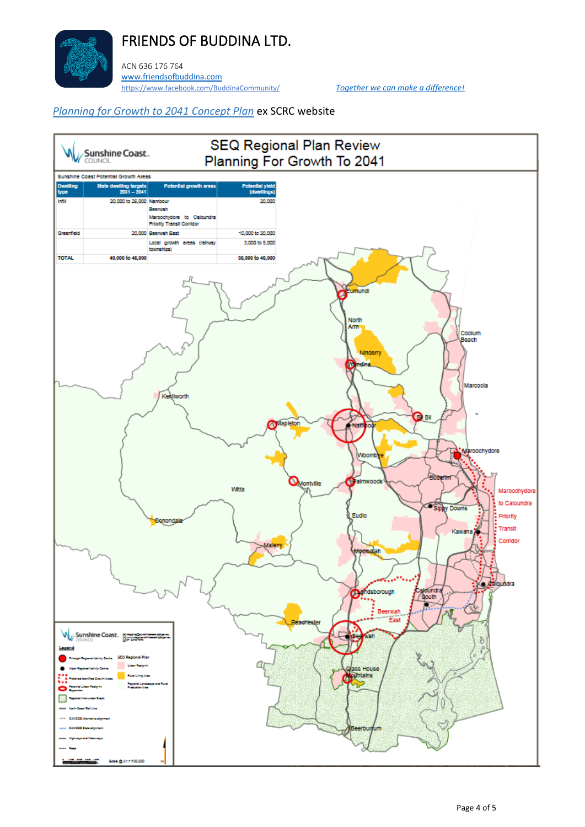

ACN 636 176 764 [www.friendsofbuddina.com](http://www.friendsofbuddina.com/) <https://www.facebook.com/BuddinaCommunity/> *Together we can make a difference!* 

### *[Planning for Growth to 2041 Concept Plan](https://d1j8a4bqwzee3.cloudfront.net/~/media/Corporate/Migrated/Files/Uploads/addfiles/documents/planning/seqrp/conceptplan.pdf?la=en)* ex SCRC website